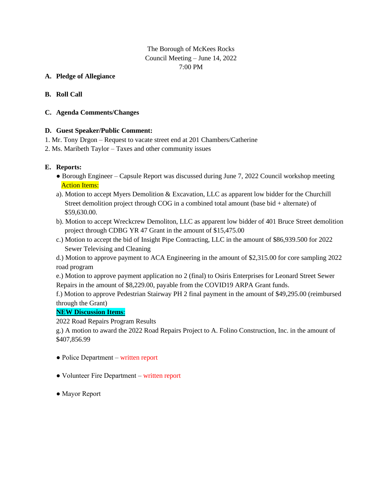# The Borough of McKees Rocks Council Meeting – June 14, 2022 7:00 PM

#### **A. Pledge of Allegiance**

### **B. Roll Call**

#### **C. Agenda Comments/Changes**

#### **D. Guest Speaker/Public Comment:**

- 1. Mr. Tony Drgon Request to vacate street end at 201 Chambers/Catherine
- 2. Ms. Maribeth Taylor Taxes and other community issues

#### **E. Reports:**

- Borough Engineer Capsule Report was discussed during June 7, 2022 Council workshop meeting **Action Items:**
- a). Motion to accept Myers Demolition & Excavation, LLC as apparent low bidder for the Churchill Street demolition project through COG in a combined total amount (base bid + alternate) of \$59,630.00.
- b). Motion to accept Wreckcrew Demoliton, LLC as apparent low bidder of 401 Bruce Street demolition project through CDBG YR 47 Grant in the amount of \$15,475.00
- c.) Motion to accept the bid of Insight Pipe Contracting, LLC in the amount of \$86,939.500 for 2022 Sewer Televising and Cleaning

d.) Motion to approve payment to ACA Engineering in the amount of \$2,315.00 for core sampling 2022 road program

e.) Motion to approve payment application no 2 (final) to Osiris Enterprises for Leonard Street Sewer Repairs in the amount of \$8,229.00, payable from the COVID19 ARPA Grant funds.

f.) Motion to approve Pedestrian Stairway PH 2 final payment in the amount of \$49,295.00 (reimbursed through the Grant)

#### **NEW Discussion Items**:

2022 Road Repairs Program Results

 g.) A motion to award the 2022 Road Repairs Project to A. Folino Construction, Inc. in the amount of \$407,856.99

- Police Department written report
- Volunteer Fire Department written report
- Mayor Report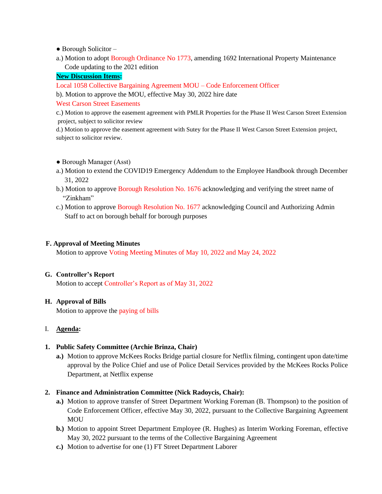$\bullet$  Borough Solicitor  $-$ 

a.) Motion to adopt Borough Ordinance No 1773, amending 1692 International Property Maintenance Code updating to the 2021 edition

# **New Discussion Items:**

Local 1058 Collective Bargaining Agreement MOU – Code Enforcement Officer

b). Motion to approve the MOU, effective May 30, 2022 hire date

West Carson Street Easements

c.) Motion to approve the easement agreement with PMLR Properties for the Phase II West Carson Street Extension project, subject to solicitor review

d.) Motion to approve the easement agreement with Sutey for the Phase II West Carson Street Extension project, subject to solicitor review.

- Borough Manager (Asst)
- a.) Motion to extend the COVID19 Emergency Addendum to the Employee Handbook through December 31, 2022
- b.) Motion to approve Borough Resolution No. 1676 acknowledging and verifying the street name of "Zinkham"
- c.) Motion to approve Borough Resolution No. 1677 acknowledging Council and Authorizing Admin Staff to act on borough behalf for borough purposes

# **F. Approval of Meeting Minutes**

Motion to approve Voting Meeting Minutes of May 10, 2022 and May 24, 2022

# **G. Controller's Report**

Motion to accept Controller's Report as of May 31, 2022

# **H. Approval of Bills**

Motion to approve the paying of bills

# I. **Agenda:**

# **1. Public Safety Committee (Archie Brinza, Chair)**

- **a.)** Motion to approve McKees Rocks Bridge partial closure for Netflix filming, contingent upon date/time approval by the Police Chief and use of Police Detail Services provided by the McKees Rocks Police Department, at Netflix expense
- **2. Finance and Administration Committee (Nick Radoycis, Chair):** 
	- **a.)** Motion to approve transfer of Street Department Working Foreman (B. Thompson) to the position of Code Enforcement Officer, effective May 30, 2022, pursuant to the Collective Bargaining Agreement MOU
	- **b.)** Motion to appoint Street Department Employee (R. Hughes) as Interim Working Foreman, effective May 30, 2022 pursuant to the terms of the Collective Bargaining Agreement
	- **c.)** Motion to advertise for one (1) FT Street Department Laborer